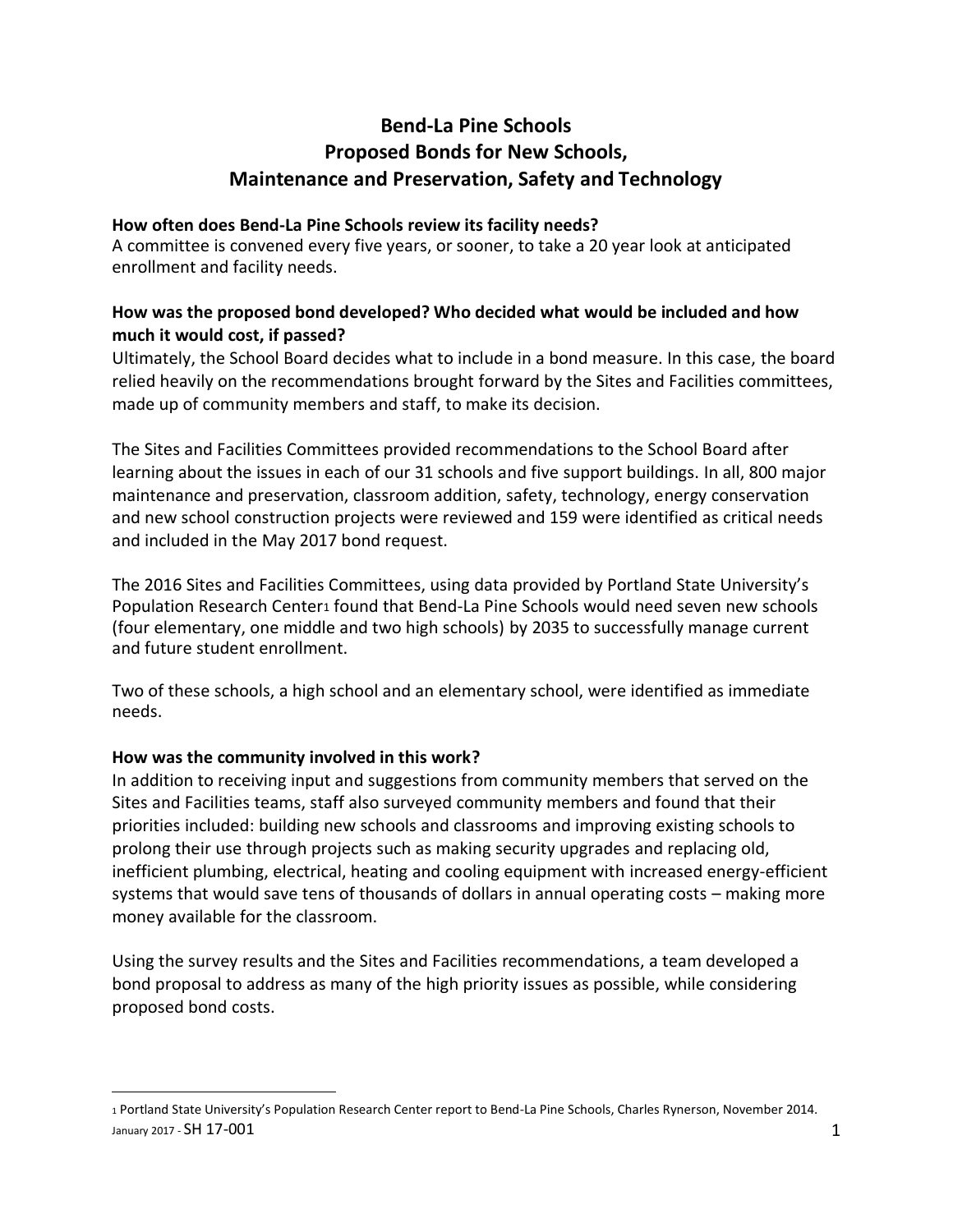# **Bend-La Pine Schools Proposed Bonds for New Schools, Maintenance and Preservation, Safety and Technology**

#### **How often does Bend-La Pine Schools review its facility needs?**

A committee is convened every five years, or sooner, to take a 20 year look at anticipated enrollment and facility needs.

## **How was the proposed bond developed? Who decided what would be included and how much it would cost, if passed?**

Ultimately, the School Board decides what to include in a bond measure. In this case, the board relied heavily on the recommendations brought forward by the Sites and Facilities committees, made up of community members and staff, to make its decision.

The Sites and Facilities Committees provided recommendations to the School Board after learning about the issues in each of our 31 schools and five support buildings. In all, 800 major maintenance and preservation, classroom addition, safety, technology, energy conservation and new school construction projects were reviewed and 159 were identified as critical needs and included in the May 2017 bond request.

The 2016 Sites and Facilities Committees, using data provided by Portland State University's Population Research Center1 found that Bend-La Pine Schools would need seven new schools (four elementary, one middle and two high schools) by 2035 to successfully manage current and future student enrollment.

Two of these schools, a high school and an elementary school, were identified as immediate needs.

## **How was the community involved in this work?**

 $\overline{a}$ 

In addition to receiving input and suggestions from community members that served on the Sites and Facilities teams, staff also surveyed community members and found that their priorities included: building new schools and classrooms and improving existing schools to prolong their use through projects such as making security upgrades and replacing old, inefficient plumbing, electrical, heating and cooling equipment with increased energy-efficient systems that would save tens of thousands of dollars in annual operating costs – making more money available for the classroom.

Using the survey results and the Sites and Facilities recommendations, a team developed a bond proposal to address as many of the high priority issues as possible, while considering proposed bond costs.

January 2017 -  $SH$   $17$ - $O$  $01$   $1$ <sup>1</sup> Portland State University's Population Research Center report to Bend-La Pine Schools, Charles Rynerson, November 2014.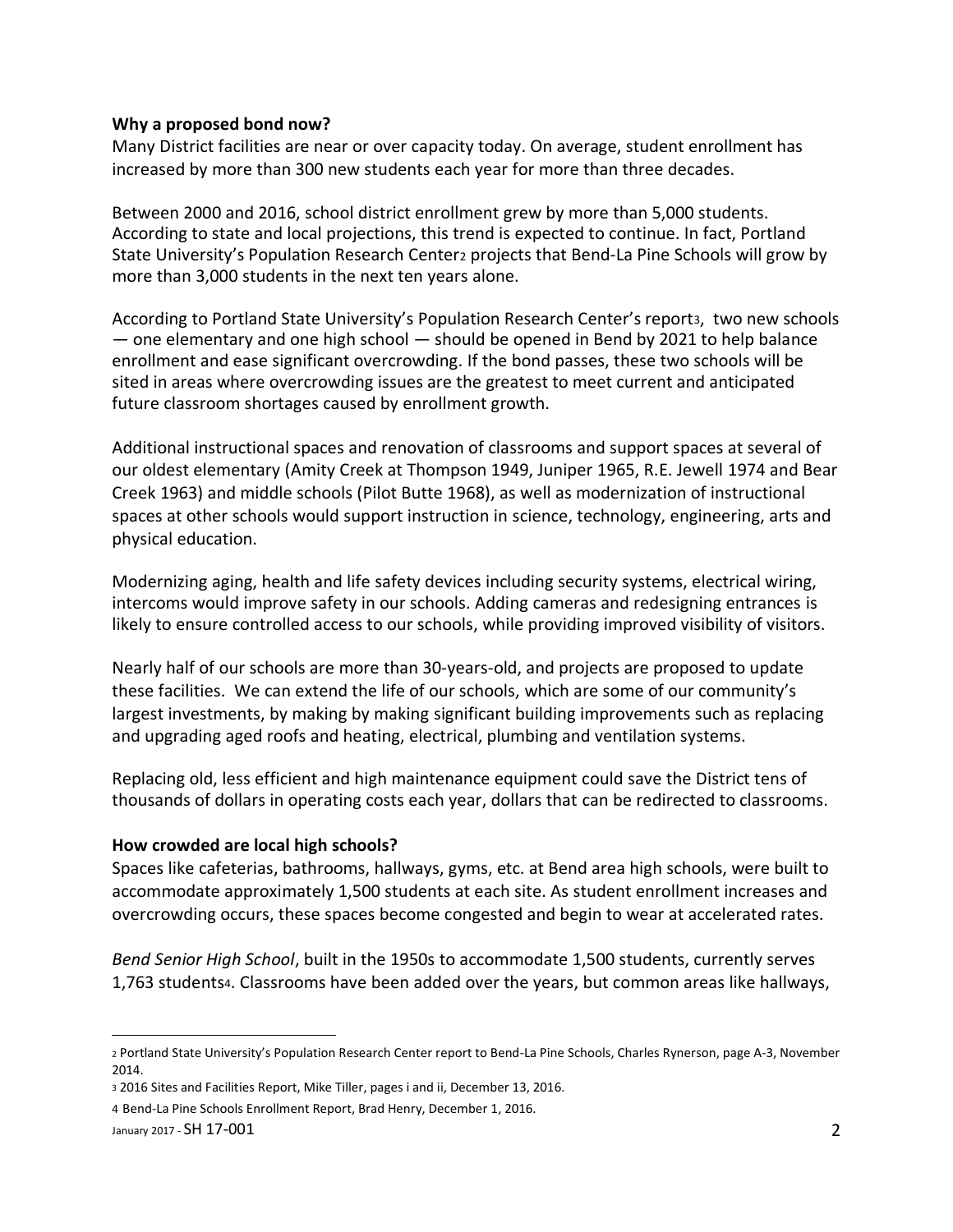#### **Why a proposed bond now?**

Many District facilities are near or over capacity today. On average, student enrollment has increased by more than 300 new students each year for more than three decades.

Between 2000 and 2016, school district enrollment grew by more than 5,000 students. According to state and local projections, this trend is expected to continue. In fact, Portland State University's Population Research Center2 projects that Bend-La Pine Schools will grow by more than 3,000 students in the next ten years alone.

According to Portland State University's Population Research Center's report3, two new schools — one elementary and one high school — should be opened in Bend by 2021 to help balance enrollment and ease significant overcrowding. If the bond passes, these two schools will be sited in areas where overcrowding issues are the greatest to meet current and anticipated future classroom shortages caused by enrollment growth.

Additional instructional spaces and renovation of classrooms and support spaces at several of our oldest elementary (Amity Creek at Thompson 1949, Juniper 1965, R.E. Jewell 1974 and Bear Creek 1963) and middle schools (Pilot Butte 1968), as well as modernization of instructional spaces at other schools would support instruction in science, technology, engineering, arts and physical education.

Modernizing aging, health and life safety devices including security systems, electrical wiring, intercoms would improve safety in our schools. Adding cameras and redesigning entrances is likely to ensure controlled access to our schools, while providing improved visibility of visitors.

Nearly half of our schools are more than 30-years-old, and projects are proposed to update these facilities. We can extend the life of our schools, which are some of our community's largest investments, by making by making significant building improvements such as replacing and upgrading aged roofs and heating, electrical, plumbing and ventilation systems.

Replacing old, less efficient and high maintenance equipment could save the District tens of thousands of dollars in operating costs each year, dollars that can be redirected to classrooms.

#### **How crowded are local high schools?**

Spaces like cafeterias, bathrooms, hallways, gyms, etc. at Bend area high schools, were built to accommodate approximately 1,500 students at each site. As student enrollment increases and overcrowding occurs, these spaces become congested and begin to wear at accelerated rates.

*Bend Senior High School*, built in the 1950s to accommodate 1,500 students, currently serves 1,763 students4. Classrooms have been added over the years, but common areas like hallways,

 $\overline{a}$ 

<sup>2</sup> Portland State University's Population Research Center report to Bend-La Pine Schools, Charles Rynerson, page A-3, November 2014.

<sup>3</sup> 2016 Sites and Facilities Report, Mike Tiller, pages i and ii, December 13, 2016.

<sup>4</sup> Bend-La Pine Schools Enrollment Report, Brad Henry, December 1, 2016.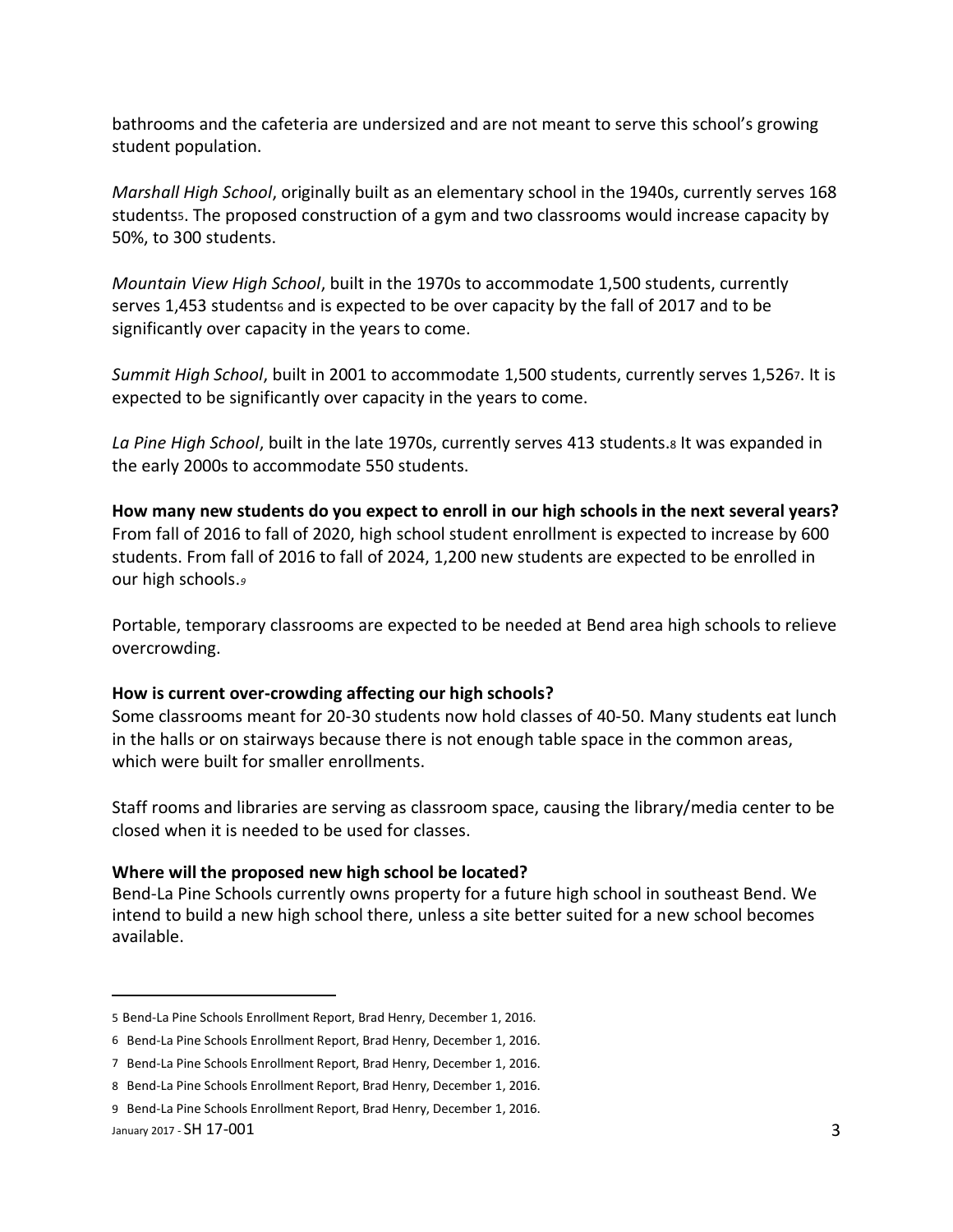bathrooms and the cafeteria are undersized and are not meant to serve this school's growing student population.

*Marshall High School*, originally built as an elementary school in the 1940s, currently serves 168 studentss. The proposed construction of a gym and two classrooms would increase capacity by 50%, to 300 students.

*Mountain View High School*, built in the 1970s to accommodate 1,500 students, currently serves 1,453 students and is expected to be over capacity by the fall of 2017 and to be significantly over capacity in the years to come.

*Summit High School*, built in 2001 to accommodate 1,500 students, currently serves 1,5267. It is expected to be significantly over capacity in the years to come.

*La Pine High School*, built in the late 1970s, currently serves 413 students.<sup>8</sup> It was expanded in the early 2000s to accommodate 550 students.

**How many new students do you expect to enroll in our high schools in the next several years?** From fall of 2016 to fall of 2020, high school student enrollment is expected to increase by 600 students. From fall of 2016 to fall of 2024, 1,200 new students are expected to be enrolled in our high schools.*<sup>9</sup>*

Portable, temporary classrooms are expected to be needed at Bend area high schools to relieve overcrowding.

#### **How is current over-crowding affecting our high schools?**

Some classrooms meant for 20-30 students now hold classes of 40-50. Many students eat lunch in the halls or on stairways because there is not enough table space in the common areas, which were built for smaller enrollments.

Staff rooms and libraries are serving as classroom space, causing the library/media center to be closed when it is needed to be used for classes.

## **Where will the proposed new high school be located?**

Bend-La Pine Schools currently owns property for a future high school in southeast Bend. We intend to build a new high school there, unless a site better suited for a new school becomes available.

 $\overline{a}$ 

<sup>5</sup> Bend-La Pine Schools Enrollment Report, Brad Henry, December 1, 2016.

<sup>6</sup> Bend-La Pine Schools Enrollment Report, Brad Henry, December 1, 2016.

<sup>7</sup> Bend-La Pine Schools Enrollment Report, Brad Henry, December 1, 2016.

<sup>8</sup> Bend-La Pine Schools Enrollment Report, Brad Henry, December 1, 2016.

January 2017 -  $SH$  17-001  $\overline{3}$ 9 Bend-La Pine Schools Enrollment Report, Brad Henry, December 1, 2016.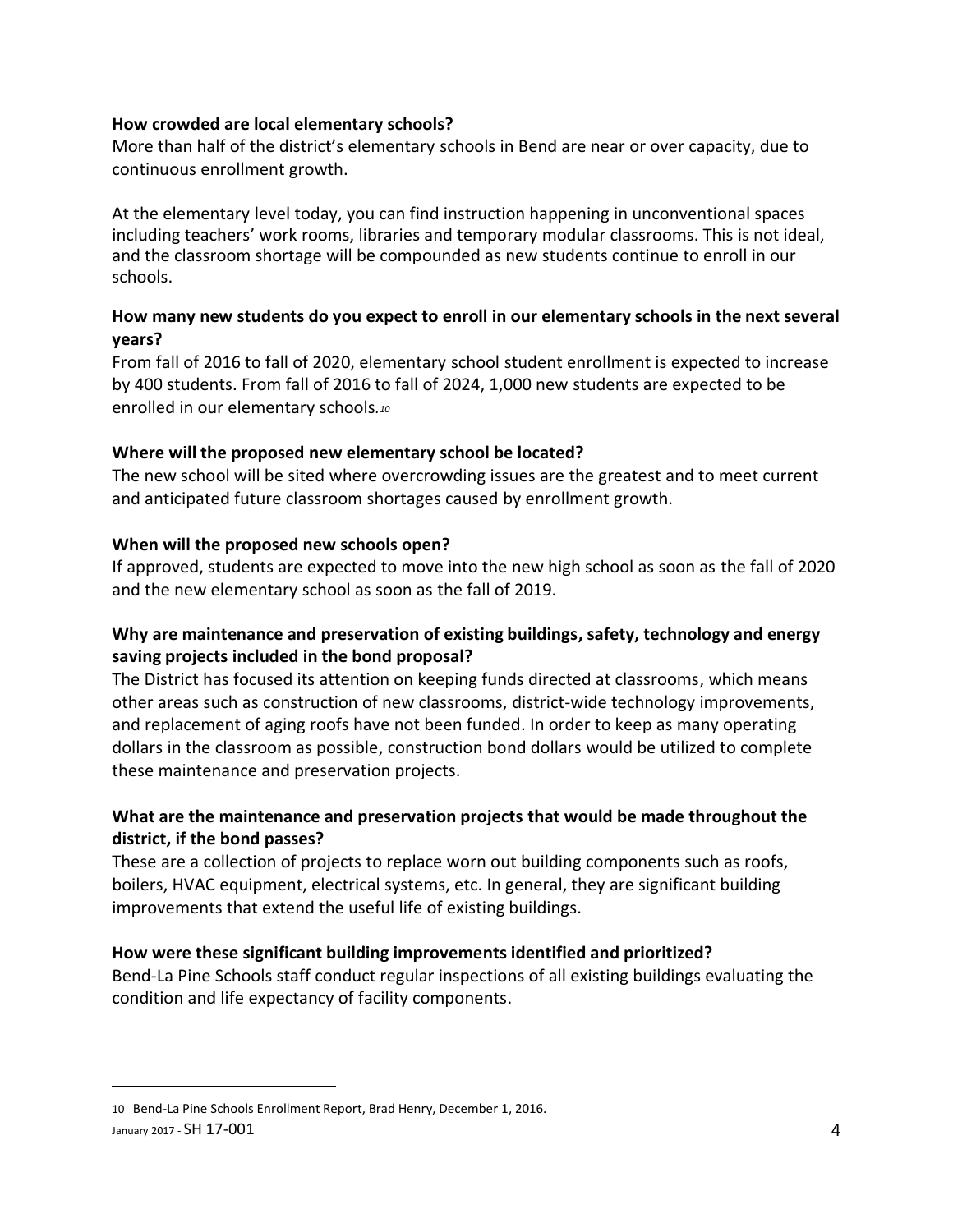#### **How crowded are local elementary schools?**

More than half of the district's elementary schools in Bend are near or over capacity, due to continuous enrollment growth.

At the elementary level today, you can find instruction happening in unconventional spaces including teachers' work rooms, libraries and temporary modular classrooms. This is not ideal, and the classroom shortage will be compounded as new students continue to enroll in our schools.

## **How many new students do you expect to enroll in our elementary schools in the next several years?**

From fall of 2016 to fall of 2020, elementary school student enrollment is expected to increase by 400 students. From fall of 2016 to fall of 2024, 1,000 new students are expected to be enrolled in our elementary schools*.<sup>10</sup>*

## **Where will the proposed new elementary school be located?**

The new school will be sited where overcrowding issues are the greatest and to meet current and anticipated future classroom shortages caused by enrollment growth.

## **When will the proposed new schools open?**

If approved, students are expected to move into the new high school as soon as the fall of 2020 and the new elementary school as soon as the fall of 2019.

## **Why are maintenance and preservation of existing buildings, safety, technology and energy saving projects included in the bond proposal?**

The District has focused its attention on keeping funds directed at classrooms, which means other areas such as construction of new classrooms, district-wide technology improvements, and replacement of aging roofs have not been funded. In order to keep as many operating dollars in the classroom as possible, construction bond dollars would be utilized to complete these maintenance and preservation projects.

## **What are the maintenance and preservation projects that would be made throughout the district, if the bond passes?**

These are a collection of projects to replace worn out building components such as roofs, boilers, HVAC equipment, electrical systems, etc. In general, they are significant building improvements that extend the useful life of existing buildings.

## **How were these significant building improvements identified and prioritized?**

Bend-La Pine Schools staff conduct regular inspections of all existing buildings evaluating the condition and life expectancy of facility components.

 $\overline{a}$ 

January 2017 -  $SH$  17-001  $\overline{4}$ 10 Bend-La Pine Schools Enrollment Report, Brad Henry, December 1, 2016.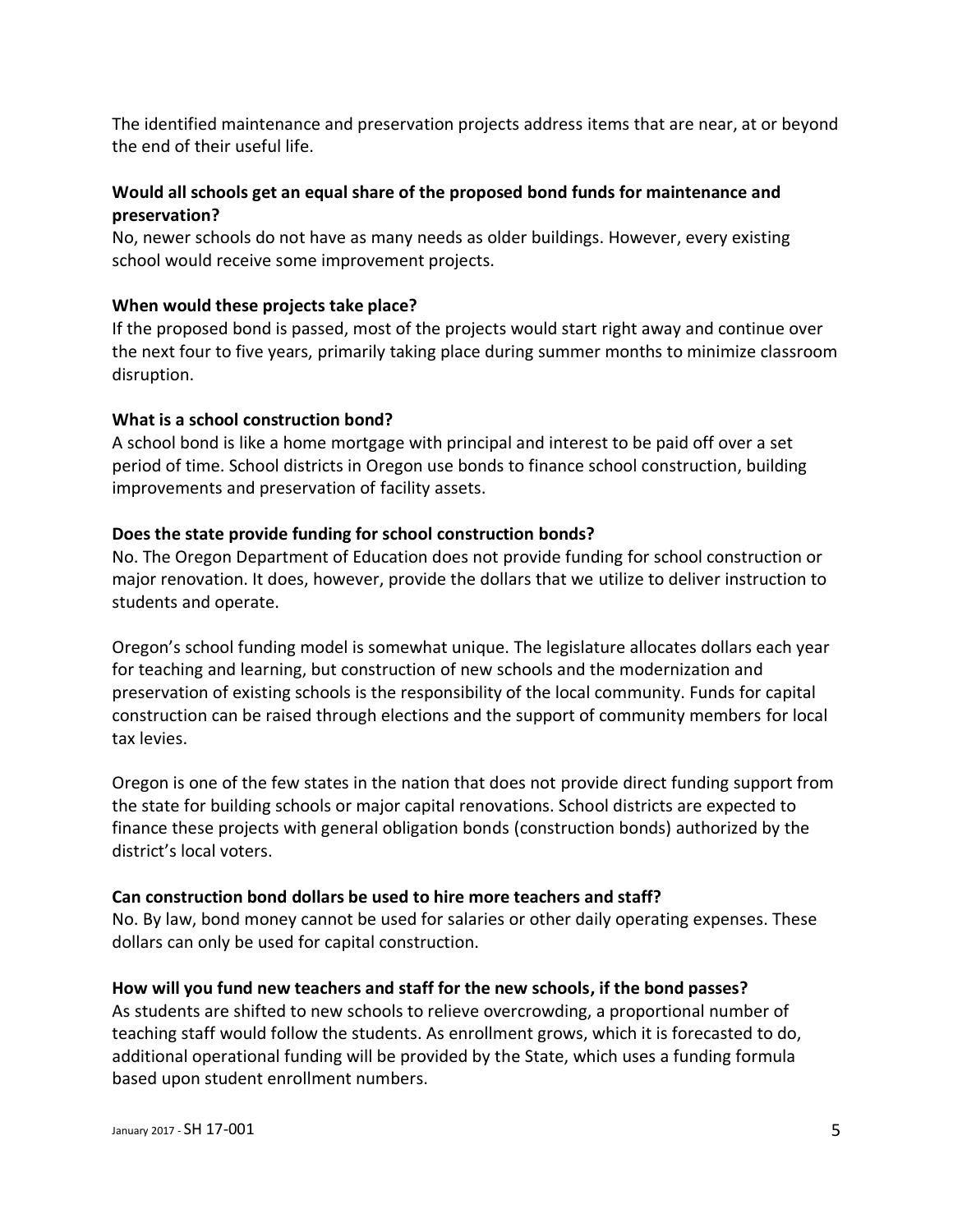The identified maintenance and preservation projects address items that are near, at or beyond the end of their useful life.

## **Would all schools get an equal share of the proposed bond funds for maintenance and preservation?**

No, newer schools do not have as many needs as older buildings. However, every existing school would receive some improvement projects.

#### **When would these projects take place?**

If the proposed bond is passed, most of the projects would start right away and continue over the next four to five years, primarily taking place during summer months to minimize classroom disruption.

#### **What is a school construction bond?**

A school bond is like a home mortgage with principal and interest to be paid off over a set period of time. School districts in Oregon use bonds to finance school construction, building improvements and preservation of facility assets.

## **Does the state provide funding for school construction bonds?**

No. The Oregon Department of Education does not provide funding for school construction or major renovation. It does, however, provide the dollars that we utilize to deliver instruction to students and operate.

Oregon's school funding model is somewhat unique. The legislature allocates dollars each year for teaching and learning, but construction of new schools and the modernization and preservation of existing schools is the responsibility of the local community. Funds for capital construction can be raised through elections and the support of community members for local tax levies.

Oregon is one of the few states in the nation that does not provide direct funding support from the state for building schools or major capital renovations. School districts are expected to finance these projects with general obligation bonds (construction bonds) authorized by the district's local voters.

## **Can construction bond dollars be used to hire more teachers and staff?**

No. By law, bond money cannot be used for salaries or other daily operating expenses. These dollars can only be used for capital construction.

## **How will you fund new teachers and staff for the new schools, if the bond passes?**

As students are shifted to new schools to relieve overcrowding, a proportional number of teaching staff would follow the students. As enrollment grows, which it is forecasted to do, additional operational funding will be provided by the State, which uses a funding formula based upon student enrollment numbers.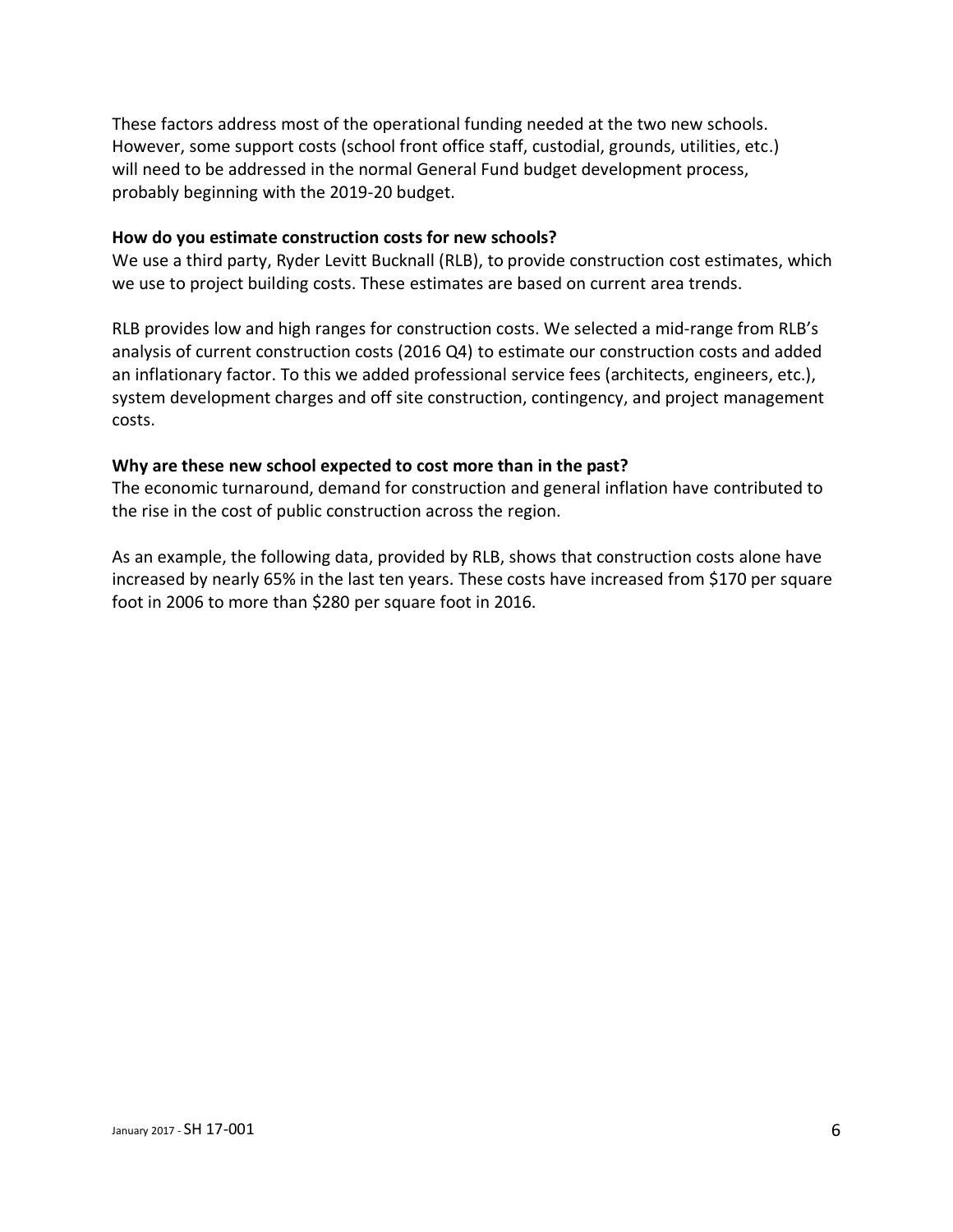These factors address most of the operational funding needed at the two new schools. However, some support costs (school front office staff, custodial, grounds, utilities, etc.) will need to be addressed in the normal General Fund budget development process, probably beginning with the 2019-20 budget.

#### **How do you estimate construction costs for new schools?**

We use a third party, Ryder Levitt Bucknall (RLB), to provide construction cost estimates, which we use to project building costs. These estimates are based on current area trends.

RLB provides low and high ranges for construction costs. We selected a mid-range from RLB's analysis of current construction costs (2016 Q4) to estimate our construction costs and added an inflationary factor. To this we added professional service fees (architects, engineers, etc.), system development charges and off site construction, contingency, and project management costs.

#### **Why are these new school expected to cost more than in the past?**

The economic turnaround, demand for construction and general inflation have contributed to the rise in the cost of public construction across the region.

As an example, the following data, provided by RLB, shows that construction costs alone have increased by nearly 65% in the last ten years. These costs have increased from \$170 per square foot in 2006 to more than \$280 per square foot in 2016.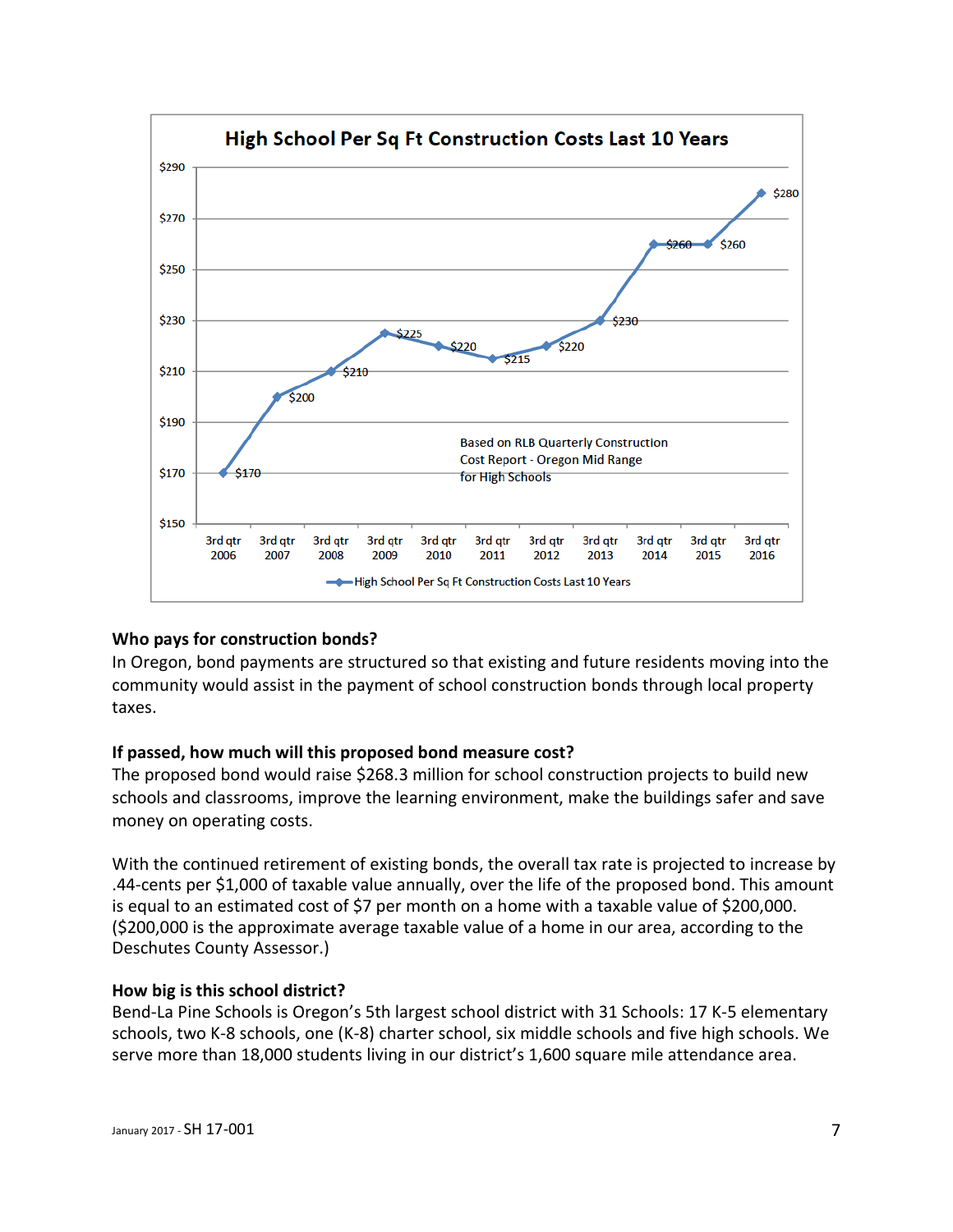

#### **Who pays for construction bonds?**

In Oregon, bond payments are structured so that existing and future residents moving into the community would assist in the payment of school construction bonds through local property taxes.

#### **If passed, how much will this proposed bond measure cost?**

The proposed bond would raise \$268.3 million for school construction projects to build new schools and classrooms, improve the learning environment, make the buildings safer and save money on operating costs.

With the continued retirement of existing bonds, the overall tax rate is projected to increase by .44-cents per \$1,000 of taxable value annually, over the life of the proposed bond. This amount is equal to an estimated cost of \$7 per month on a home with a taxable value of \$200,000. (\$200,000 is the approximate average taxable value of a home in our area, according to the Deschutes County Assessor.)

#### **How big is this school district?**

Bend-La Pine Schools is Oregon's 5th largest school district with 31 Schools: 17 K-5 elementary schools, two K-8 schools, one (K-8) charter school, six middle schools and five high schools. We serve more than 18,000 students living in our district's 1,600 square mile attendance area.